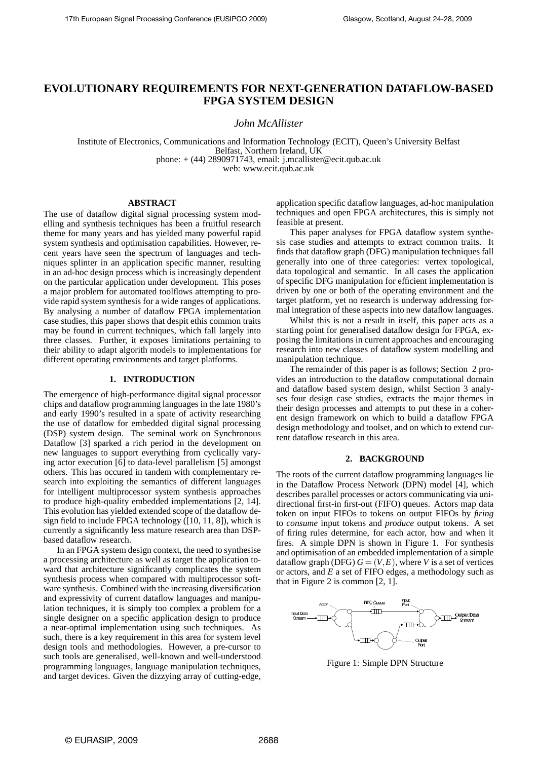# **EVOLUTIONARY REQUIREMENTS FOR NEXT-GENERATION DATAFLOW-BASED FPGA SYSTEM DESIGN**

*John McAllister*

Institute of Electronics, Communications and Information Technology (ECIT), Queen's University Belfast Belfast, Northern Ireland, UK phone:  $+(44)$  2890971743, email: j.mcallister@ecit.qub.ac.uk web: www.ecit.qub.ac.uk

#### **ABSTRACT**

The use of dataflow digital signal processing system modelling and synthesis techniques has been a fruitful research theme for many years and has yielded many powerful rapid system synthesis and optimisation capabilities. However, recent years have seen the spectrum of languages and techniques splinter in an application specific manner, resulting in an ad-hoc design process which is increasingly dependent on the particular application under development. This poses a major problem for automated toolflows attempting to provide rapid system synthesis for a wide ranges of applications. By analysing a number of dataflow FPGA implementation case studies, this paper shows that despit ethis common traits may be found in current techniques, which fall largely into three classes. Further, it exposes limitations pertaining to their ability to adapt algorith models to implementations for different operating environments and target platforms.

#### **1. INTRODUCTION**

The emergence of high-performance digital signal processor chips and dataflow programming languages in the late 1980's and early 1990's resulted in a spate of activity researching the use of dataflow for embedded digital signal processing (DSP) system design. The seminal work on Synchronous Dataflow [3] sparked a rich period in the development on new languages to support everything from cyclically varying actor execution [6] to data-level parallelism [5] amongst others. This has occured in tandem with complementary research into exploiting the semantics of different languages for intelligent multiprocessor system synthesis approaches to produce high-quality embedded implementations [2, 14]. This evolution has yielded extended scope of the dataflow design field to include FPGA technology ([10, 11, 8]), which is currently a significantly less mature research area than DSPbased dataflow research.

In an FPGA system design context, the need to synthesise a processing architecture as well as target the application toward that architecture significantly complicates the system synthesis process when compared with multiprocessor software synthesis. Combined with the increasing diversification and expressivity of current dataflow languages and manipulation techniques, it is simply too complex a problem for a single designer on a specific application design to produce a near-optimal implementation using such techniques. As such, there is a key requirement in this area for system level design tools and methodologies. However, a pre-cursor to such tools are generalised, well-known and well-understood programming languages, language manipulation techniques, and target devices. Given the dizzying array of cutting-edge, application specific dataflow languages, ad-hoc manipulation techniques and open FPGA architectures, this is simply not feasible at present.

This paper analyses for FPGA dataflow system synthesis case studies and attempts to extract common traits. It finds that dataflow graph (DFG) manipulation techniques fall generally into one of three categories: vertex topological, data topological and semantic. In all cases the application of specific DFG manipulation for efficient implementation is driven by one or both of the operating environment and the target platform, yet no research is underway addressing formal integration of these aspects into new dataflow languages.

Whilst this is not a result in itself, this paper acts as a starting point for generalised dataflow design for FPGA, exposing the limitations in current approaches and encouraging research into new classes of dataflow system modelling and manipulation technique.

The remainder of this paper is as follows; Section 2 provides an introduction to the dataflow computational domain and dataflow based system design, whilst Section 3 analyses four design case studies, extracts the major themes in their design processes and attempts to put these in a coherent design framework on which to build a dataflow FPGA design methodology and toolset, and on which to extend current dataflow research in this area.

# **2. BACKGROUND**

The roots of the current dataflow programming languages lie in the Dataflow Process Network (DPN) model [4], which describes parallel processes or actors communicating via unidirectional first-in first-out (FIFO) queues. Actors map data token on input FIFOs to tokens on output FIFOs by *firing* to *consume* input tokens and *produce* output tokens. A set of firing rules determine, for each actor, how and when it fires. A simple DPN is shown in Figure 1. For synthesis and optimisation of an embedded implementation of a simple dataflow graph (DFG)  $G = (V, E)$ , where *V* is a set of vertices or actors, and *E* a set of FIFO edges, a methodology such as that in Figure 2 is common [2, 1].



Figure 1: Simple DPN Structure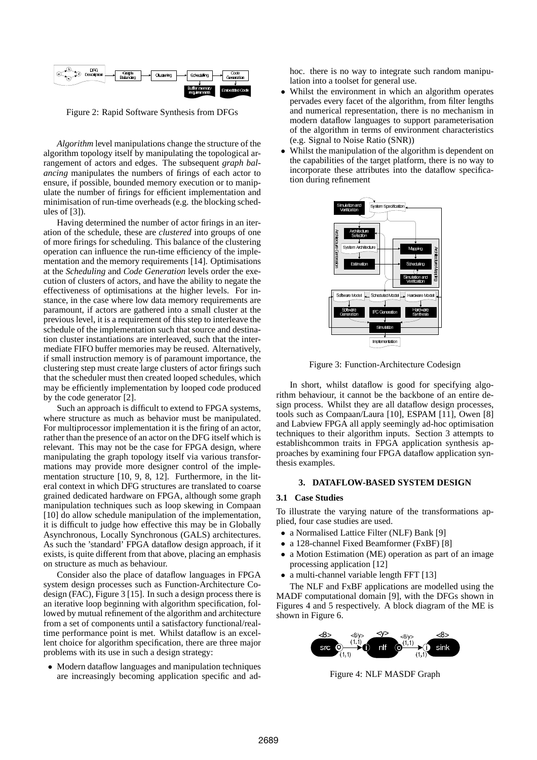

Figure 2: Rapid Software Synthesis from DFGs

*Algorithm* level manipulations change the structure of the algorithm topology itself by manipulating the topological arrangement of actors and edges. The subsequent *graph balancing* manipulates the numbers of firings of each actor to ensure, if possible, bounded memory execution or to manipulate the number of firings for efficient implementation and minimisation of run-time overheads (e.g. the blocking schedules of [3]).

Having determined the number of actor firings in an iteration of the schedule, these are *clustered* into groups of one of more firings for scheduling. This balance of the clustering operation can influence the run-time efficiency of the implementation and the memory requirements [14]. Optimisations at the *Scheduling* and *Code Generation* levels order the execution of clusters of actors, and have the ability to negate the effectiveness of optimisations at the higher levels. For instance, in the case where low data memory requirements are paramount, if actors are gathered into a small cluster at the previous level, it is a requirement of this step to interleave the schedule of the implementation such that source and destination cluster instantiations are interleaved, such that the intermediate FIFO buffer memories may be reused. Alternatively, if small instruction memory is of paramount importance, the clustering step must create large clusters of actor firings such that the scheduler must then created looped schedules, which may be efficiently implementation by looped code produced by the code generator [2].

Such an approach is difficult to extend to FPGA systems, where structure as much as behavior must be manipulated. For multiprocessor implementation it is the firing of an actor, rather than the presence of an actor on the DFG itself which is relevant. This may not be the case for FPGA design, where manipulating the graph topology itself via various transformations may provide more designer control of the implementation structure [10, 9, 8, 12]. Furthermore, in the literal context in which DFG structures are translated to coarse grained dedicated hardware on FPGA, although some graph manipulation techniques such as loop skewing in Compaan [10] do allow schedule manipulation of the implementation, it is difficult to judge how effective this may be in Globally Asynchronous, Locally Synchronous (GALS) architectures. As such the 'standard' FPGA dataflow design approach, if it exists, is quite different from that above, placing an emphasis on structure as much as behaviour.

Consider also the place of dataflow languages in FPGA system design processes such as Function-Architecture Codesign (FAC), Figure 3 [15]. In such a design process there is an iterative loop beginning with algorithm specification, followed by mutual refinement of the algorithm and architecture from a set of components until a satisfactory functional/realtime performance point is met. Whilst dataflow is an excellent choice for algorithm specification, there are three major problems with its use in such a design strategy:

• Modern dataflow languages and manipulation techniques are increasingly becoming application specific and adhoc. there is no way to integrate such random manipulation into a toolset for general use.

- Whilst the environment in which an algorithm operates pervades every facet of the algorithm, from filter lengths and numerical representation, there is no mechanism in modern dataflow languages to support parameterisation of the algorithm in terms of environment characteristics (e.g. Signal to Noise Ratio (SNR))
- Whilst the manipulation of the algorithm is dependent on the capabilities of the target platform, there is no way to incorporate these attributes into the dataflow specification during refinement



Figure 3: Function-Architecture Codesign

In short, whilst dataflow is good for specifying algorithm behaviour, it cannot be the backbone of an entire design process. Whilst they are all dataflow design processes, tools such as Compaan/Laura [10], ESPAM [11], Owen [8] and Labview FPGA all apply seemingly ad-hoc optimisation techniques to their algorithm inputs. Section 3 attempts to establishcommon traits in FPGA application synthesis approaches by examining four FPGA dataflow application synthesis examples.

#### **3. DATAFLOW-BASED SYSTEM DESIGN**

#### **3.1 Case Studies**

To illustrate the varying nature of the transformations applied, four case studies are used.

- a Normalised Lattice Filter (NLF) Bank [9]
- a 128-channel Fixed Beamformer (FxBF) [8]
- a Motion Estimation (ME) operation as part of an image processing application [12]
- a multi-channel variable length FFT [13]

The NLF and FxBF applications are modelled using the MADF computational domain [9], with the DFGs shown in Figures 4 and 5 respectively. A block diagram of the ME is shown in Figure 6.



Figure 4: NLF MASDF Graph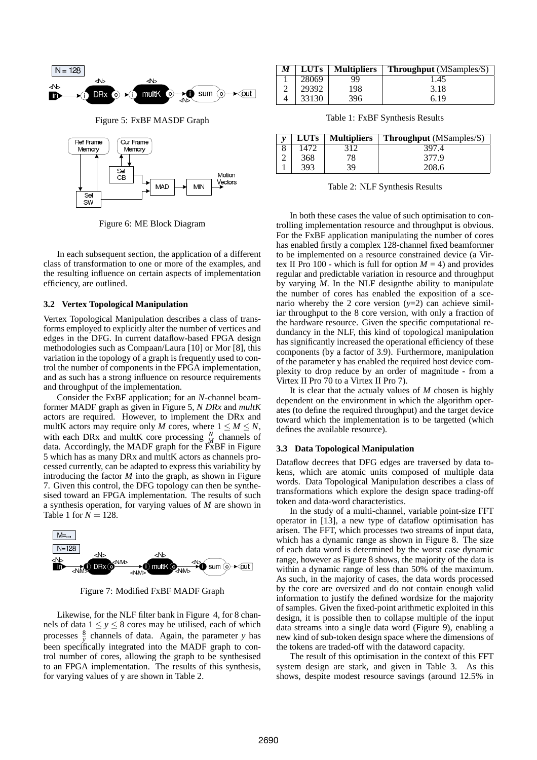



Figure 6: ME Block Diagram

In each subsequent section, the application of a different class of transformation to one or more of the examples, and the resulting influence on certain aspects of implementation efficiency, are outlined.

#### **3.2 Vertex Topological Manipulation**

Vertex Topological Manipulation describes a class of transforms employed to explicitly alter the number of vertices and edges in the DFG. In current dataflow-based FPGA design methodologies such as Compaan/Laura [10] or Mor [8], this variation in the topology of a graph is frequently used to control the number of components in the FPGA implementation, and as such has a strong influence on resource requirements and throughput of the implementation.

Consider the FxBF application; for an *N*-channel beamformer MADF graph as given in Figure 5, *N DRx* and *multK* actors are required. However, to implement the DRx and multK actors may require only *M* cores, where  $1 \leq M \leq N$ , with each DRx and multK core processing  $\frac{N}{M}$  channels of data. Accordingly, the MADF graph for the FxBF in Figure 5 which has as many DRx and multK actors as channels processed currently, can be adapted to express this variability by introducing the factor *M* into the graph, as shown in Figure 7. Given this control, the DFG topology can then be synthesised toward an FPGA implementation. The results of such a synthesis operation, for varying values of *M* are shown in Table 1 for  $N = 128$ .



Figure 7: Modified FxBF MADF Graph

Likewise, for the NLF filter bank in Figure 4, for 8 channels of data  $1 \le y \le 8$  cores may be utilised, each of which processes  $\frac{8}{y}$  channels of data. Again, the parameter *y* has been specifically integrated into the MADF graph to control number of cores, allowing the graph to be synthesised to an FPGA implementation. The results of this synthesis, for varying values of y are shown in Table 2.

| M | <b>LUTs</b> | <b>Multipliers</b> | <b>Throughput</b> (MSamples/S) |
|---|-------------|--------------------|--------------------------------|
|   | 28069       | QQ.                | 1.45                           |
|   | 29392       | 198                | 3.18                           |
|   | 33130       | 396                | 6.19                           |

Table 1: FxBF Synthesis Results

| <b>LUTs</b> | <b>Multipliers</b> | <b>Throughput</b> (MSamples/S) |
|-------------|--------------------|--------------------------------|
| 1472        | 312                | 397.4                          |
| 368         | 78                 | 377.9                          |
| 393         | 39                 | 208.6                          |

Table 2: NLF Synthesis Results

In both these cases the value of such optimisation to controlling implementation resource and throughput is obvious. For the FxBF application manipulating the number of cores has enabled firstly a complex 128-channel fixed beamformer to be implemented on a resource constrained device (a Virtex II Pro 100 - which is full for option  $M = 4$ ) and provides regular and predictable variation in resource and throughput by varying *M*. In the NLF designthe ability to manipulate the number of cores has enabled the exposition of a scenario whereby the 2 core version  $(y=2)$  can achieve similiar throughput to the 8 core version, with only a fraction of the hardware resource. Given the specific computational redundancy in the NLF, this kind of topological manipulation has significantly increased the operational efficiency of these components (by a factor of 3.9). Furthermore, manipulation of the parameter y has enabled the required host device complexity to drop reduce by an order of magnitude - from a Virtex II Pro 70 to a Virtex II Pro 7).

It is clear that the actualy values of *M* chosen is highly dependent on the environment in which the algorithm operates (to define the required throughput) and the target device toward which the implementation is to be targetted (which defines the available resource).

#### **3.3 Data Topological Manipulation**

Dataflow decrees that DFG edges are traversed by data tokens, which are atomic units composed of multiple data words. Data Topological Manipulation describes a class of transformations which explore the design space trading-off token and data-word characteristics.

In the study of a multi-channel, variable point-size FFT operator in [13], a new type of dataflow optimisation has arisen. The FFT, which processes two streams of input data, which has a dynamic range as shown in Figure 8. The size of each data word is determined by the worst case dynamic range, however as Figure 8 shows, the majority of the data is within a dynamic range of less than 50% of the maximum. As such, in the majority of cases, the data words processed by the core are oversized and do not contain enough valid information to justify the defined wordsize for the majority of samples. Given the fixed-point arithmetic exploited in this design, it is possible then to collapse multiple of the input data streams into a single data word (Figure 9), enabling a new kind of sub-token design space where the dimensions of the tokens are traded-off with the dataword capacity.

The result of this optimisation in the context of this FFT system design are stark, and given in Table 3. As this shows, despite modest resource savings (around 12.5% in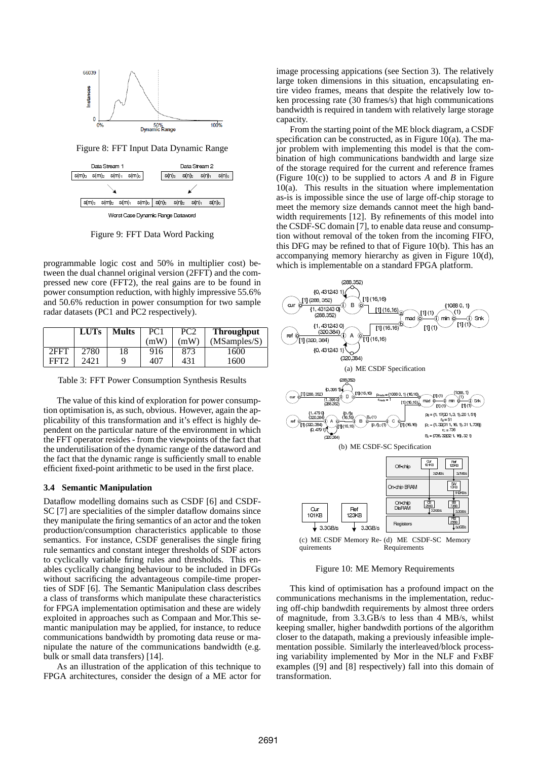

Figure 8: FFT Input Data Dynamic Range



Figure 9: FFT Data Word Packing

programmable logic cost and 50% in multiplier cost) between the dual channel original version (2FFT) and the compressed new core (FFT2), the real gains are to be found in power consumption reduction, with highly impressive 55.6% and 50.6% reduction in power consumption for two sample radar datasets (PC1 and PC2 respectively).

|                  | <b>LUTs</b> | <b>Mults</b> | PC <sub>1</sub> | PC <sub>2</sub> | <b>Throughput</b> |
|------------------|-------------|--------------|-----------------|-----------------|-------------------|
|                  |             |              | (mW)            | (mW)            | (MSamples/S)      |
| 2FFT             | 2780        | 18           | 916             | 873             | 1600              |
| FFT <sub>2</sub> | 2421        | q            | 407             | 431             | 1600              |

Table 3: FFT Power Consumption Synthesis Results

The value of this kind of exploration for power consumption optimisation is, as such, obvious. However, again the applicability of this transformation and it's effect is highly dependent on the particular nature of the environment in which the FFT operator resides - from the viewpoints of the fact that the underutilisation of the dynamic range of the dataword and the fact that the dynamic range is sufficiently small to enable efficient fixed-point arithmetic to be used in the first place.

#### **3.4 Semantic Manipulation**

Dataflow modelling domains such as CSDF [6] and CSDF-SC [7] are specialities of the simpler dataflow domains since they manipulate the firing semantics of an actor and the token production/consumption characteristics applicable to those semantics. For instance, CSDF generalises the single firing rule semantics and constant integer thresholds of SDF actors to cyclically variable firing rules and thresholds. This enables cyclically changing behaviour to be included in DFGs without sacrificing the advantageous compile-time properties of SDF [6]. The Semantic Manipulation class describes a class of transforms which manipulate these characteristics for FPGA implementation optimisation and these are widely exploited in approaches such as Compaan and Mor.This semantic manipulation may be applied, for instance, to reduce communications bandwidth by promoting data reuse or manipulate the nature of the communications bandwidth (e.g. bulk or small data transfers) [14].

As an illustration of the application of this technique to FPGA architectures, consider the design of a ME actor for image processing appications (see Section 3). The relatively large token dimensions in this situation, encapsulating entire video frames, means that despite the relatively low token processing rate (30 frames/s) that high communications bandwidth is required in tandem with relatively large storage capacity.

From the starting point of the ME block diagram, a CSDF specification can be constructed, as in Figure 10(a). The major problem with implementing this model is that the combination of high communications bandwidth and large size of the storage required for the current and reference frames (Figure 10(c)) to be supplied to actors *A* and *B* in Figure 10(a). This results in the situation where implementation as-is is impossible since the use of large off-chip storage to meet the memory size demands cannot meet the high bandwidth requirements [12]. By refinements of this model into the CSDF-SC domain [7], to enable data reuse and consumption without removal of the token from the incoming FIFO, this DFG may be refined to that of Figure 10(b). This has an accompanying memory hierarchy as given in Figure 10(d), which is implementable on a standard FPGA platform.



Figure 10: ME Memory Requirements

This kind of optimisation has a profound impact on the communications mechanisms in the implementation, reducing off-chip bandwdith requirements by almost three orders of magnitude, from 3.3.GB/s to less than 4 MB/s, whilst keeping smaller, higher bandwdith portions of the algorithm closer to the datapath, making a previously infeasible implementation possible. Similarly the interleaved/block processing variability implemented by Mor in the NLF and FxBF examples ([9] and [8] respectively) fall into this domain of transformation.